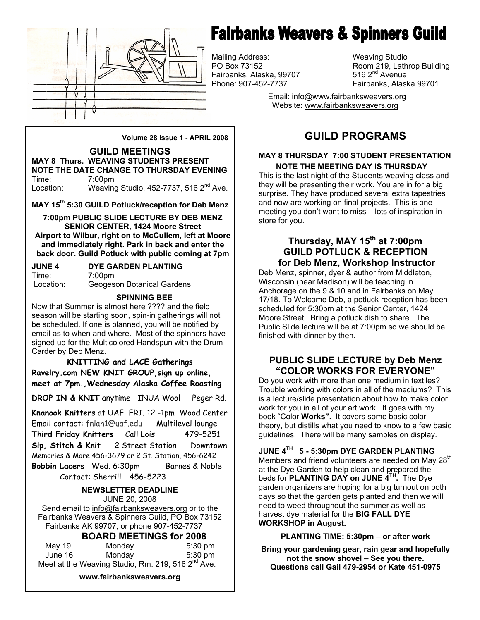

# **Fairbanks Weavers & Spinners Guild**

Mailing Address: Weaving Studio Fairbanks, Alaska, 99707 Phone: 907-452-7737 Fairbanks, Alaska 99701

Room 219, Lathrop Building 516  $2<sup>nd</sup>$  Avenue

 Email: info@www.fairbanksweavers.org Website: www.fairbanksweavers.org

**Volume 28 Issue 1 - APRIL 2008** 

**GUILD MEETINGS MAY 8 Thurs. WEAVING STUDENTS PRESENT NOTE THE DATE CHANGE TO THURSDAY EVENING**  Time: 7:00pm Location: Weaving Studio, 452-7737, 516 2<sup>nd</sup> Ave.

**MAY 15th 5:30 GUILD Potluck/reception for Deb Menz** 

**7:00pm PUBLIC SLIDE LECTURE BY DEB MENZ SENIOR CENTER, 1424 Moore Street Airport to Wilbur, right on to McCullem, left at Moore and immediately right. Park in back and enter the back door. Guild Potluck with public coming at 7pm** 

| <b>JUNE 4</b> | DYE GARDEN PLANTING        |
|---------------|----------------------------|
| Time:         | 7:00pm                     |
| Location:     | Geogeson Botanical Gardens |

**SPINNING BEE** 

Now that Summer is almost here ???? and the field season will be starting soon, spin-in gatherings will not be scheduled. If one is planned, you will be notified by email as to when and where. Most of the spinners have signed up for the Multicolored Handspun with the Drum Carder by Deb Menz.

**KNITTING and LACE Gatherings Ravelry.com NEW KNIT GROUP,sign up online, meet at 7pm.,Wednesday Alaska Coffee Roasting**

**DROP IN & KNIT** anytime INUA Wool Peger Rd.

**Knanook Knitters** at UAF FRI. 12 -1pm Wood Center Email contact: fnlah1@uaf.edu Multilevel lounge **Third Friday Knitters** Call Lois 479-5251 **Sip, Stitch & Knit** 2 Street Station Downtown Memories & More 456-3679 or 2 St. Station, 456-6242 **Bobbin Lacers** Wed. 6:30pm Barnes & Noble Contact: Sherrill – 456-5223

**NEWSLETTER DEADLINE**  JUNE 20, 2008 Send email to info@fairbanksweavers.org or to the Fairbanks Weavers & Spinners Guild, PO Box 73152

Fairbanks AK 99707, or phone 907-452-7737

**BOARD MEETINGS for 2008** 

| May 19  | Monday                                                        | $5:30$ pm |
|---------|---------------------------------------------------------------|-----------|
| June 16 | Mondav                                                        | $5:30$ pm |
|         | Meet at the Weaving Studio, Rm. 219, 516 2 <sup>nd</sup> Ave. |           |

**www.fairbanksweavers.org** 

## **GUILD PROGRAMS**

#### **MAY 8 THURSDAY 7:00 STUDENT PRESENTATION NOTE THE MEETING DAY IS THURSDAY**

This is the last night of the Students weaving class and they will be presenting their work. You are in for a big surprise. They have produced several extra tapestries and now are working on final projects. This is one meeting you don't want to miss – lots of inspiration in store for you.

## **Thursday, MAY 15th at 7:00pm GUILD POTLUCK & RECEPTION for Deb Menz, Workshop Instructor**

Deb Menz, spinner, dyer & author from Middleton, Wisconsin (near Madison) will be teaching in Anchorage on the 9 & 10 and in Fairbanks on May 17/18. To Welcome Deb, a potluck reception has been scheduled for 5:30pm at the Senior Center, 1424 Moore Street. Bring a potluck dish to share. The Public Slide lecture will be at 7:00pm so we should be finished with dinner by then.

## **PUBLIC SLIDE LECTURE by Deb Menz "COLOR WORKS FOR EVERYONE"**

Do you work with more than one medium in textiles? Trouble working with colors in all of the mediums? This is a lecture/slide presentation about how to make color work for you in all of your art work. It goes with my book "Color **Works".** It covers some basic color theory, but distills what you need to know to a few basic guidelines. There will be many samples on display.

**JUNE 4TH 5 - 5:30pm DYE GARDEN PLANTING** 

Members and friend volunteers are needed on May 28<sup>th</sup> at the Dye Garden to help clean and prepared the beds for **PLANTING DAY on JUNE 4TH.** The Dye garden organizers are hoping for a big turnout on both days so that the garden gets planted and then we will need to weed throughout the summer as well as harvest dye material for the **BIG FALL DYE WORKSHOP in August.** 

**PLANTING TIME: 5:30pm – or after work** 

**Bring your gardening gear, rain gear and hopefully not the snow shovel – See you there. Questions call Gail 479-2954 or Kate 451-0975**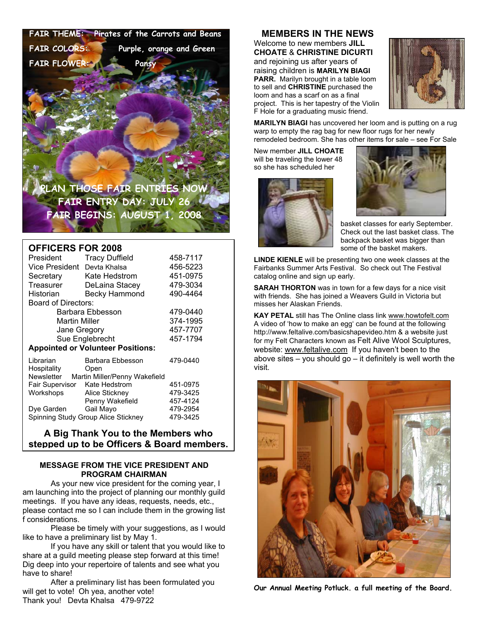**FAIR THEME: Pirates of the Carrots and Beans FAIR COLORS: Purple, orange and Green** 

 **FAIR FLOWER: Pansy**

**PLAN THOSE FAIR ENTRIES NOW FAIR ENTRY DAY: JULY 26 FAIR BEGINS: AUGUST 1, 2008** 

#### **OFFICERS FOR 2008**

| President                                | <b>Tracy Duffield</b>         | 458-7117 |  |  |
|------------------------------------------|-------------------------------|----------|--|--|
| Vice President                           | Devta Khalsa                  | 456-5223 |  |  |
| Secretary                                | Kate Hedstrom                 | 451-0975 |  |  |
| Treasurer                                | DeLaina Stacey                | 479-3034 |  |  |
| Historian                                | Becky Hammond                 | 490-4464 |  |  |
| Board of Directors:                      |                               |          |  |  |
| Barbara Ebbesson                         |                               | 479-0440 |  |  |
| <b>Martin Miller</b>                     |                               | 374-1995 |  |  |
| Jane Gregory                             |                               | 457-7707 |  |  |
| Sue Englebrecht                          |                               | 457-1794 |  |  |
| <b>Appointed or Volunteer Positions:</b> |                               |          |  |  |
| Librarian                                | Barbara Ebbesson              | 479-0440 |  |  |
| Hospitality                              | Open                          |          |  |  |
| Newsletter                               | Martin Miller/Penny Wakefield |          |  |  |
| Fair Supervisor                          | Kate Hedstrom                 | 451-0975 |  |  |
| Workshops                                | Alice Stickney                | 479-3425 |  |  |
|                                          | Penny Wakefield               | 457-4124 |  |  |
| Dye Garden Gail Mayo                     |                               | 479-2954 |  |  |
| Spinning Study Group Alice Stickney      | 479-3425                      |          |  |  |
|                                          |                               |          |  |  |

#### **A Big Thank You to the Members who stepped up to be Officers & Board members.**

#### **MESSAGE FROM THE VICE PRESIDENT AND PROGRAM CHAIRMAN**

 As your new vice president for the coming year, I am launching into the project of planning our monthly guild meetings. If you have any ideas, requests, needs, etc., please contact me so I can include them in the growing list f considerations.

 Please be timely with your suggestions, as I would like to have a preliminary list by May 1.

 If you have any skill or talent that you would like to share at a guild meeting please step forward at this time! Dig deep into your repertoire of talents and see what you have to share!

 After a preliminary list has been formulated you will get to vote! Oh yea, another vote! Thank you! Devta Khalsa 479-9722

#### **MEMBERS IN THE NEWS**

Welcome to new members **JILL CHOATE** & **CHRISTINE DICURTI**  and rejoining us after years of raising children is **MARILYN BIAGI PARR.** Marilyn brought in a table loom to sell and **CHRISTINE** purchased the loom and has a scarf on as a final project. This is her tapestry of the Violin F Hole for a graduating music friend.



**MARILYN BIAGI** has uncovered her loom and is putting on a rug warp to empty the rag bag for new floor rugs for her newly remodeled bedroom. She has other items for sale – see For Sale

New member **JILL CHOATE**  will be traveling the lower 48 so she has scheduled her





basket classes for early September. Check out the last basket class. The backpack basket was bigger than some of the basket makers.

**LINDE KIENLE** will be presenting two one week classes at the Fairbanks Summer Arts Festival. So check out The Festival catalog online and sign up early.

**SARAH THORTON** was in town for a few days for a nice visit with friends. She has joined a Weavers Guild in Victoria but misses her Alaskan Friends.

**KAY PETAL** still has The Online class link www.howtofelt.com A video of 'how to make an egg' can be found at the following http://www.feltalive.com/basicshapevideo.htm & a website just for my Felt Characters known as Felt Alive Wool Sculptures, website: www.feltalive.com If you haven't been to the above sites – you should go – it definitely is well worth the visit.



**Our Annual Meeting Potluck. a full meeting of the Board.**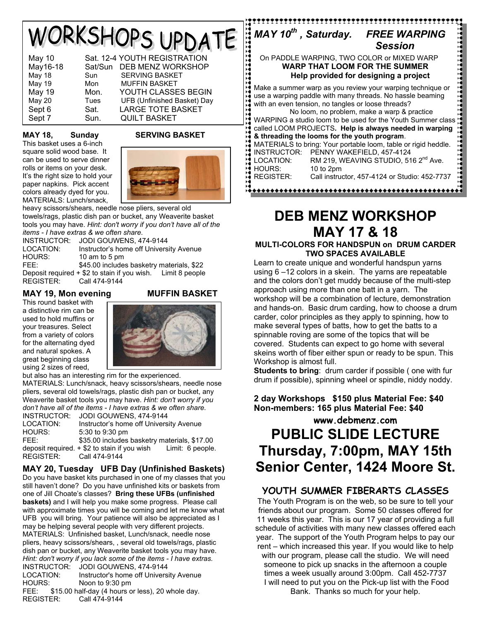# WORKSHOPS UPDATE

| <b>May 10</b> |         | Sat. 12-4 YOUTH REGISTRATION |
|---------------|---------|------------------------------|
| May16-18      | Sat/Sun | DEB MENZ WORKSHOP            |
| <b>May 18</b> | Sun     | <b>SERVING BASKET</b>        |
| <b>May 19</b> | Mon     | <b>MUFFIN BASKET</b>         |
| <b>May 19</b> | Mon.    | YOUTH CLASSES BEGIN          |
| <b>May 20</b> | Tues    | UFB (Unfinished Basket) Day  |
| Sept 6        | Sat.    | <b>LARGE TOTE BASKET</b>     |
| Sept 7        | Sun.    | <b>QUILT BASKET</b>          |

## **MAY 18, Sunday SERVING BASKET**

This basket uses a 6-inch square solid wood base. It can be used to serve dinner rolls or items on your desk. It's the right size to hold your paper napkins. Pick accent colors already dyed for you. MATERIALS: Lunch/snack,



heavy scissors/shears, needle nose pliers, several old towels/rags, plastic dish pan or bucket, any Weaverite basket tools you may have. *Hint: don't worry if you don't have all of the items - I have extras & we often share*.

INSTRUCTOR: JODI GOUWENS, 474-9144 LOCATION: Instructor's home off University Avenue HOURS: 10 am to 5 pm FEE: \$45.00 includes basketry materials, \$22 Deposit required + \$2 to stain if you wish. Limit 8 people REGISTER: Call 474-9144

## **MAY 19, Mon evening MUFFIN BASKET**

This round basket with a distinctive rim can be used to hold muffins or your treasures. Select from a variety of colors for the alternating dyed and natural spokes. A great beginning class using 2 sizes of reed,



but also has an interesting rim for the experienced. MATERIALS: Lunch/snack, heavy scissors/shears, needle nose pliers, several old towels/rags, plastic dish pan or bucket, any Weaverite basket tools you may have. *Hint: don't worry if you don't have all of the items - I have extras & we often share*.

| INSTRUCTOR:      | JODI GOUWENS, 474-9144                                          |  |
|------------------|-----------------------------------------------------------------|--|
| LOCATION:        | Instructor's home off University Avenue                         |  |
| HOURS:           | 5:30 to 9:30 pm                                                 |  |
| FEE:             | \$35.00 includes basketry materials, \$17.00                    |  |
|                  | deposit required. $+$ \$2 to stain if you wish Limit: 6 people. |  |
| <b>REGISTER:</b> | Call 474-9144                                                   |  |

## **MAY 20, Tuesday UFB Day (Unfinished Baskets)**

Do you have basket kits purchased in one of my classes that you still haven't done? Do you have unfinished kits or baskets from one of Jill Choate's classes? **Bring these UFBs (unfinished baskets)** and I will help you make some progress. Please call with approximate times you will be coming and let me know what UFB you will bring. Your patience will also be appreciated as I may be helping several people with very different projects. MATERIALS: Unfinished basket, Lunch/snack, needle nose pliers, heavy scissors/shears, , several old towels/rags, plastic dish pan or bucket, any Weaverite basket tools you may have. *Hint: don't worry if you lack some of the items - I have extras.* INSTRUCTOR: JODI GOUWENS, 474-9144

LOCATION: Instructor's home off University Avenue HOURS: Noon to 9:30 pm FEE: \$15.00 half-day (4 hours or less), 20 whole day. REGISTER: Call 474-9144

## *MAY 10th , Saturday. FREE WARPING Session* **Session**

 On PADDLE WARPING, TWO COLOR or MIXED WARP **WARP THAT LOOM FOR THE SUMMER Help provided for designing a project** 

Make a summer warp as you review your warping technique or use a warping paddle with many threads. No hassle beaming with an even tension, no tangles or loose threads? No loom, no problem, make a warp & practice

WARPING a studio loom to be used for the Youth Summer class  $\mathbf{H}$ called LOOM PROJECTS**. Help is always needed in warping & threading the looms for the youth program**. MATERIALS to bring: Your portable loom, table or rigid heddle. INSTRUCTOR: PENNY WAKEFIELD, 457-4124 LOCATION: RM 219, WEAVING STUDIO, 516 2<sup>nd</sup> Ave. HOURS: 10 to 2pm<br>REGISTER: Call instruc Call instructor, 457-4124 or Studio: 452-7737

# **DEB MENZ WORKSHOP MAY 17 & 18**

#### **MULTI-COLORS FOR HANDSPUN on DRUM CARDER TWO SPACES AVAILABLE**

Learn to create unique and wonderful handspun yarns using 6 –12 colors in a skein. The yarns are repeatable and the colors don't get muddy because of the multi-step approach using more than one batt in a yarn. The workshop will be a combination of lecture, demonstration and hands-on. Basic drum carding, how to choose a drum carder, color principles as they apply to spinning, how to make several types of batts, how to get the batts to a spinnable roving are some of the topics that will be covered. Students can expect to go home with several skeins worth of fiber either spun or ready to be spun. This Workshop is almost full.

**Students to bring**: drum carder if possible ( one with fur drum if possible), spinning wheel or spindle, niddy noddy.

## **2 day Workshops \$150 plus Material Fee: \$40 Non-members: 165 plus Material Fee: \$40**

## **www.debmenz.com PUBLIC SLIDE LECTURE Thursday, 7:00pm, MAY 15th Senior Center, 1424 Moore St.**

## **YOUTH SUMMER FIBERARTS CLASSES**

The Youth Program is on the web, so be sure to tell your friends about our program. Some 50 classes offered for 11 weeks this year. This is our 17 year of providing a full schedule of activities with many new classes offered each year. The support of the Youth Program helps to pay our rent – which increased this year. If you would like to help with our program, please call the studio. We will need someone to pick up snacks in the afternoon a couple times a week usually around 3:00pm. Call 452-7737 I will need to put you on the Pick-up list with the Food Bank. Thanks so much for your help.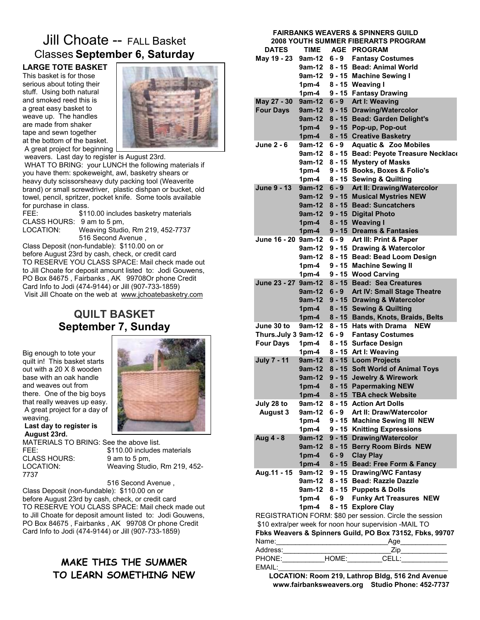## Jill Choate -- FALL Basket Classes **September 6, Saturday**

**LARGE TOTE BASKET**  This basket is for those serious about toting their stuff. Using both natural and smoked reed this is a great easy basket to weave up. The handles are made from shaker tape and sewn together at the bottom of the basket. A great project for beginning



 weavers. Last day to register is August 23rd. WHAT TO BRING: your LUNCH the following materials if you have them: spokeweight, awl, basketry shears or heavy duty scissorsheavy duty packing tool (Weaverite brand) or small screwdriver, plastic dishpan or bucket, old towel, pencil, spritzer, pocket knife. Some tools available for purchase in class.

FEE: \$110.00 includes basketry materials CLASS HOURS: 9 am to 5 pm, LOCATION: Weaving Studio, Rm 219, 452-7737 516 Second Avenue ,

Class Deposit (non-fundable): \$110.00 on or before August 23rd by cash, check, or credit card TO RESERVE YOU CLASS SPACE: Mail check made out to Jill Choate for deposit amount listed to: Jodi Gouwens, PO Box 84675 , Fairbanks , AK 99708Or phone Credit Card Info to Jodi (474-9144) or Jill (907-733-1859) Visit Jill Choate on the web at www.jchoatebasketry.com

## **QUILT BASKET September 7, Sunday**

Big enough to tote your quilt in! This basket starts out with a 20 X 8 wooden base with an oak handle and weaves out from there. One of the big boys that really weaves up easy. A great project for a day of weaving. **Last day to register is** 

 **August 23rd.**



MATERIALS TO BRING: See the above list. CLASS HOURS: 9 am to 5 pm,<br>LOCATION: Weaving Stud 7737

FEE:  $$110.00$  includes materials Weaving Studio, Rm 219, 452-

 516 Second Avenue , Class Deposit (non-fundable): \$110.00 on or before August 23rd by cash, check, or credit card TO RESERVE YOU CLASS SPACE: Mail check made out to Jill Choate for deposit amount listed to: Jodi Gouwens, PO Box 84675 , Fairbanks , AK 99708 Or phone Credit Card Info to Jodi (474-9144) or Jill (907-733-1859)

## **MAKE THIS THE SUMMER TO LEARN SOMETHING NEW**

#### **FAIRBANKS WEAVERS & SPINNERS GUILD 2008 YOUTH SUMMER FIBERARTS PROGRAM DATES TIME AGE PROGRAM May 19 - 23 9am-12 6 - 9 Fantasy Costumes 9am-12 8 - 15 Bead: Animal World 9am-12 9 - 15 Machine Sewing I 1pm-4 8 - 15 Weaving I 1pm-4 9 - 15 Fantasy Drawing May 27 - 30 9am-12 6 - 9 Art I: Weaving Four Days 9am-12 9 - 15 Drawing/Watercolor 9am-12 8 - 15 Bead: Garden Delight's 1pm-4 9 - 15 Pop-up, Pop-out 1pm-4 8 - 15 Creative Basketry June 2 - 6 9am-12 6 - 9 Aquatic & Zoo Mobiles 9am-12 8 - 15 Bead: Peyote Treasure Necklace 9am-12 8 - 15 Mystery of Masks 1pm-4 9 - 15 Books, Boxes & Folio's 1pm-4 8 - 15 Sewing & Quilting June 9 - 13 9am-12 6 - 9 Art II: Drawing/Watercolor 9am-12 9 - 15 Musical Mystries NEW 9am-12 8 - 15 Bead: Suncatchers 9am-12 9 - 15 Digital Photo 1pm-4 8 - 15 Weaving I 1pm-4 9 - 15 Dreams & Fantasies June 16 - 20 9am-12 6 - 9 Art III: Print & Paper 9am-12 9 - 15 Drawing & Watercolor 9am-12 8 - 15 Bead: Bead Loom Design 1pm-4 9 - 15 Machine Sewing II 1pm-4 9 - 15 Wood Carving June 23 - 27 9am-12 8 - 15 Bead: Sea Creatures 9am-12 6 - 9 Art IV: Small Stage Theatre 9am-12 9 - 15 Drawing & Watercolor 1pm-4 8 - 15 Sewing & Quilting 1pm-4 8 - 15 Bands, Knots, Braids, Belts June 30 to 9am-12 8 - 15 Hats with Drama NEW Thurs.July 3 9am-12 6 - 9 Fantasy Costumes Four Days 1pm-4 8 - 15 Surface Design 1pm-4 8 - 15 Art I: Weaving July 7 - 11 9am-12 8 - 15 Loom Projects 9am-12 8 - 15 Soft World of Animal Toys 9am-12 9 - 15 Jewelry & Wirework 1pm-4 8 - 15 Papermaking NEW 1pm-4 8 - 15 TBA check Website July 28 to 9am-12 8 - 15 Action Art Dolls August 3 9am-12 6 - 9 Art II: Draw/Watercolor 1pm-4 9 - 15 Machine Sewing III NEW 1pm-4 9 - 15 Knitting Expressions Aug 4 - 8 9am-12 9 - 15 Drawing/Watercolor 9am-12 8 - 15 Berry Room Birds NEW 1pm-4 6 - 9 Clay Play 1pm-4 8 - 15 Bead: Free Form & Fancy Aug.11 - 15 9am-12 9 - 15 Drawing/WC Fantasy 9am-12 8 - 15 Bead: Razzle Dazzle 9am-12 8 - 15 Puppets & Dolls 1pm-4 6 - 9 Funky Art Treasures NEW 1pm-4 8 - 15 Explore Clay** REGISTRATION FORM: \$80 per session. Circle the session \$10 extra/per week for noon hour supervision -MAIL TO **Fbks Weavers & Spinners Guild, PO Box 73152, Fbks, 99707** Name: The contract of the contract of the contract of the contract of the contract of the contract of the contract of the contract of the contract of the contract of the contract of the contract of the contract of the cont Address: The Contract of the Contract of the Contract of The Contract of The Contract of The Contract of The Contract of The Contract of The Contract of The Contract of The Contract of The Contract of The Contract of The C PHONE: HOME: CELL: EMAIL:

 **LOCATION: Room 219, Lathrop Bldg, 516 2nd Avenue www.fairbanksweavers.org Studio Phone: 452-7737**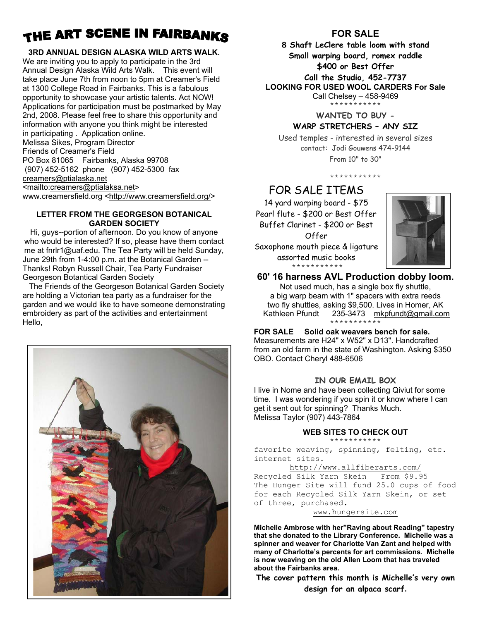## THE ART SCENE IN FAIRBANKS

#### **3RD ANNUAL DESIGN ALASKA WILD ARTS WALK.**

We are inviting you to apply to participate in the 3rd Annual Design Alaska Wild Arts Walk. This event will take place June 7th from noon to 5pm at Creamer's Field at 1300 College Road in Fairbanks. This is a fabulous opportunity to showcase your artistic talents. Act NOW! Applications for participation must be postmarked by May 2nd, 2008. Please feel free to share this opportunity and information with anyone you think might be interested in participating . Application online. Melissa Sikes, Program Director Friends of Creamer's Field PO Box 81065 Fairbanks, Alaska 99708 (907) 452-5162 phone (907) 452-5300 fax creamers@ptialaska.net <mailto:creamers@ptialaksa.net> www.creamersfield.org <http://www.creamersfield.org/>

#### **LETTER FROM THE GEORGESON BOTANICAL GARDEN SOCIETY**

Hi, guys--portion of afternoon. Do you know of anyone who would be interested? If so, please have them contact me at fnrlr1@uaf.edu. The Tea Party will be held Sunday, June 29th from 1-4:00 p.m. at the Botanical Garden -- Thanks! Robyn Russell Chair, Tea Party Fundraiser Georgeson Botantical Garden Society

 The Friends of the Georgeson Botanical Garden Society are holding a Victorian tea party as a fundraiser for the garden and we would like to have someone demonstrating embroidery as part of the activities and entertainment Hello,



## **FOR SALE**

**8 Shaft LeClere table loom with stand Small warping board, romex raddle \$400 or Best Offer Call the Studio, 452-7737 LOOKING FOR USED WOOL CARDERS For Sale** 

Call Chelsey – 458-9469

\*\*\*\*\*\*\*\*\*\*\*

#### **WANTED TO BUY - WARP STRETCHERS – ANY SIZ**

Used temples - interested in several sizes contact: Jodi Gouwens 474-9144 From 10" to 30"

\*\*\*\*\*\*\*\*\*\*\*

## FOR SALE ITEMS

14 yard warping board - \$75 Pearl flute - \$200 or Best Offer Buffet Clarinet - \$200 or Best Offer Saxophone mouth piece & ligature assorted music books



\*\*\*\*\*\*\*\*\*\*\* **60' 16 harness AVL Production dobby loom.** 

Not used much, has a single box fly shuttle, a big warp beam with 1" spacers with extra reeds two fly shuttles, asking \$9,500. Lives in Homer, AK Kathleen Pfundt 235-3473 mkpfundt@gmail.com \*\*\*\*\*\*\*\*\*\*\*

## **FOR SALE Solid oak weavers bench for sale.**

Measurements are H24" x W52" x D13". Handcrafted from an old farm in the state of Washington. Asking \$350 OBO. Contact Cheryl 488-6506

### **IN OUR EMAIL BOX**

I live in Nome and have been collecting Qiviut for some time. I was wondering if you spin it or know where I can get it sent out for spinning? Thanks Much. Melissa Taylor (907) 443-7864

## **WEB SITES TO CHECK OUT**

\*\*\*\*\*\*\*\*\*\*\*

favorite weaving, spinning, felting, etc. internet sites.

http://www.allfiberarts.com/ Recycled Silk Yarn Skein From \$9.95 The Hunger Site will fund 25.0 cups of food for each Recycled Silk Yarn Skein, or set of three, purchased.

www.hungersite.com

**Michelle Ambrose with her"Raving about Reading" tapestry that she donated to the Library Conference. Michelle was a spinner and weaver for Charlotte Van Zant and helped with many of Charlotte's percents for art commissions. Michelle is now weaving on the old Allen Loom that has traveled about the Fairbanks area.** 

**The cover pattern this month is Michelle's very own design for an alpaca scarf.**